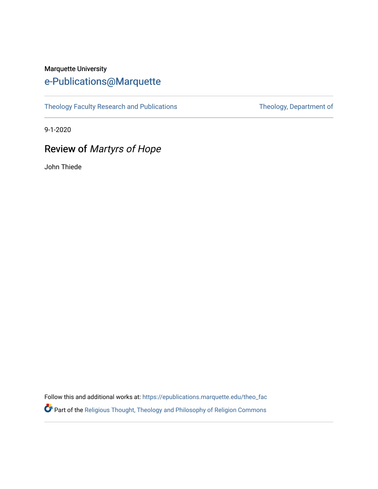#### Marquette University [e-Publications@Marquette](https://epublications.marquette.edu/)

[Theology Faculty Research and Publications](https://epublications.marquette.edu/theo_fac) Theology, Department of

9-1-2020

### Review of Martyrs of Hope

John Thiede

Follow this and additional works at: [https://epublications.marquette.edu/theo\\_fac](https://epublications.marquette.edu/theo_fac?utm_source=epublications.marquette.edu%2Ftheo_fac%2F793&utm_medium=PDF&utm_campaign=PDFCoverPages)  Part of the [Religious Thought, Theology and Philosophy of Religion Commons](http://network.bepress.com/hgg/discipline/544?utm_source=epublications.marquette.edu%2Ftheo_fac%2F793&utm_medium=PDF&utm_campaign=PDFCoverPages)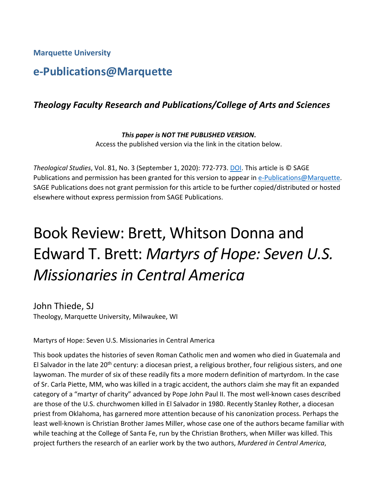**Marquette University**

## **e-Publications@Marquette**

#### *Theology Faculty Research and Publications/College of Arts and Sciences*

*This paper is NOT THE PUBLISHED VERSION***.**  Access the published version via the link in the citation below.

*Theological Studies*, Vol. 81, No. 3 (September 1, 2020): 772-773. [DOI.](https://doi.org/10.1177%2F0040563920963327g) This article is © SAGE Publications and permission has been granted for this version to appear in [e-Publications@Marquette.](http://epublications.marquette.edu/) SAGE Publications does not grant permission for this article to be further copied/distributed or hosted elsewhere without express permission from SAGE Publications.

# Book Review: Brett, Whitson Donna and Edward T. Brett: *Martyrs of Hope: Seven U.S. Missionaries in Central America*

John Thiede, SJ Theology, Marquette University, Milwaukee, WI

Martyrs of Hope: Seven U.S. Missionaries in Central America

This book updates the histories of seven Roman Catholic men and women who died in Guatemala and El Salvador in the late  $20<sup>th</sup>$  century: a diocesan priest, a religious brother, four religious sisters, and one laywoman. The murder of six of these readily fits a more modern definition of martyrdom. In the case of Sr. Carla Piette, MM, who was killed in a tragic accident, the authors claim she may fit an expanded category of a "martyr of charity" advanced by Pope John Paul II. The most well-known cases described are those of the U.S. churchwomen killed in El Salvador in 1980. Recently Stanley Rother, a diocesan priest from Oklahoma, has garnered more attention because of his canonization process. Perhaps the least well-known is Christian Brother James Miller, whose case one of the authors became familiar with while teaching at the College of Santa Fe, run by the Christian Brothers, when Miller was killed. This project furthers the research of an earlier work by the two authors, *Murdered in Central America*,